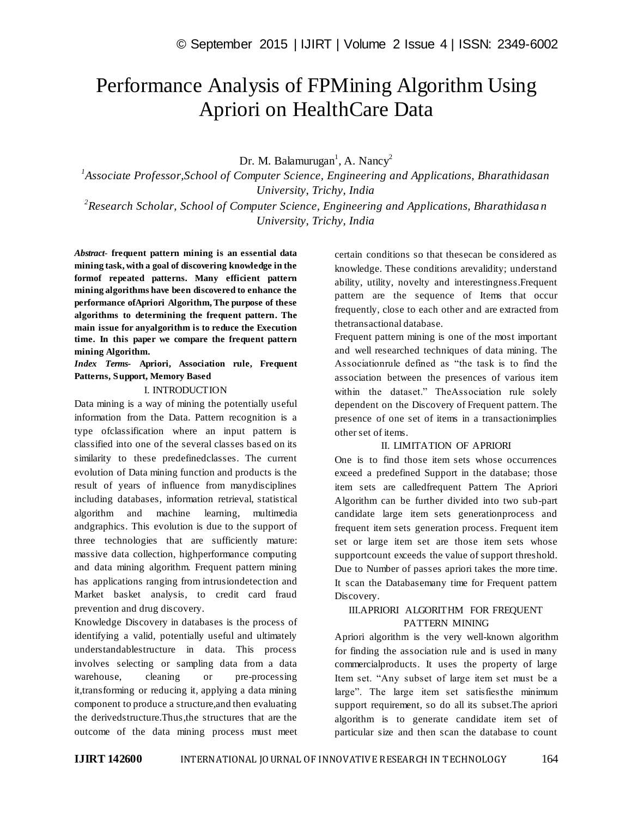# Performance Analysis of FPMining Algorithm Using Apriori on HealthCare Data

Dr. M. Balamurugan<sup>1</sup>, A. Nancy<sup>2</sup>

<sup>1</sup> Associate Professor, School of Computer Science, Engineering and Applications, Bharathidasan *University, Trichy, India*

*2 Research Scholar, School of Computer Science, Engineering and Applications, Bharathidasa n University, Trichy, India*

*Abstract*- **frequent pattern mining is an essential data mining task, with a goal of discovering knowledge in the formof repeated patterns. Many efficient pattern mining algorithms have been discovered to enhance the performance ofApriori Algorithm, The purpose of these algorithms to determining the frequent pattern. The main issue for anyalgorithm is to reduce the Execution time. In this paper we compare the frequent pattern mining Algorithm.**

*Index Terms***- Apriori, Association rule, Frequent Patterns, Support, Memory Based**

#### I. INTRODUCTION

Data mining is a way of mining the potentially useful information from the Data. Pattern recognition is a type ofclassification where an input pattern is classified into one of the several classes bas ed on its similarity to these predefinedclasses. The current evolution of Data mining function and products is the result of years of influence from manydisciplines including databases, information retrieval, statistical algorithm and machine learning, multimedia andgraphics. This evolution is due to the support of three technologies that are sufficiently mature: massive data collection, highperformance computing and data mining algorithm. Frequent pattern mining has applications ranging from intrusiondetection and Market basket analysis, to credit card fraud prevention and drug discovery.

Knowledge Discovery in databases is the process of identifying a valid, potentially useful and ultimately understandablestructure in data. This process involves selecting or sampling data from a data warehouse, cleaning or pre-processing it,transforming or reducing it, applying a data mining component to produce a structure,and then evaluating the derivedstructure.Thus,the structures that are the outcome of the data mining process must meet certain conditions so that thesecan be considered as knowledge. These conditions arevalidity; understand ability, utility, novelty and interestingness.Frequent pattern are the sequence of Items that occur frequently, close to each other and are extracted from thetransactional database.

Frequent pattern mining is one of the most important and well researched techniques of data mining. The Associationrule defined as "the task is to find the association between the presences of various item within the dataset." TheAssociation rule solely dependent on the Discovery of Frequent pattern. The presence of one set of items in a transactionimplies other set of items.

## II. LIMITATION OF APRIORI

One is to find those item sets whose occurrences exceed a predefined Support in the database; those item sets are calledfrequent Pattern The Apriori Algorithm can be further divided into two sub-part candidate large item sets generationprocess and frequent item sets generation process. Frequent item set or large item set are those item sets whose supportcount exceeds the value of support threshold. Due to Number of passes apriori takes the more time. It scan the Databasemany time for Frequent pattern Discovery.

## III.APRIORI ALGORITHM FOR FREQUENT PATTERN MINING

Apriori algorithm is the very well-known algorithm for finding the association rule and is used in many commercialproducts. It uses the property of large Item set. "Any subset of large item set must be a large". The large item set satisfiesthe minimum support requirement, so do all its subset.The apriori algorithm is to generate candidate item set of particular size and then scan the database to count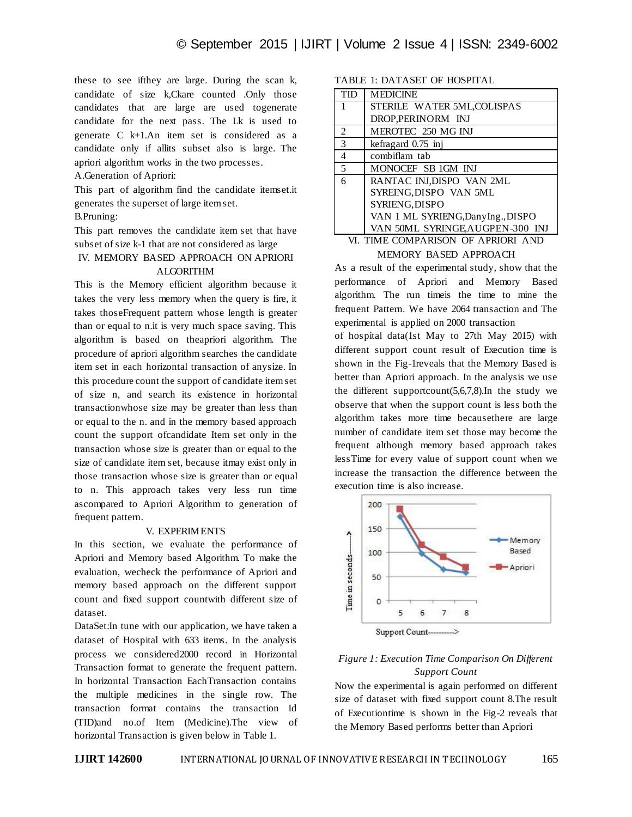these to see ifthey are large. During the scan k, candidate of size k,Ckare counted .Only those candidates that are large are used togenerate candidate for the next pass. The Lk is used to generate C k+1.An item set is considered as a candidate only if allits subset also is large. The apriori algorithm works in the two processes.

A.Generation of Apriori:

This part of algorithm find the candidate itemset.it generates the superset of large item set.

## B.Pruning:

This part removes the candidate item set that have subset of size k-1 that are not considered as large

### IV. MEMORY BASED APPROACH ON APRIORI ALGORITHM

This is the Memory efficient algorithm because it takes the very less memory when the query is fire, it takes thoseFrequent pattern whose length is greater than or equal to n.it is very much space saving. This algorithm is based on theapriori algorithm. The procedure of apriori algorithm searches the candidate item set in each horizontal transaction of anysize. In this procedure count the support of candidate item set of size n, and search its existence in horizontal transactionwhose size may be greater than less than or equal to the n. and in the memory based approach count the support ofcandidate Item set only in the transaction whose size is greater than or equal to the size of candidate item set, because itmay exist only in those transaction whose size is greater than or equal to n. This approach takes very less run time ascompared to Apriori Algorithm to generation of frequent pattern.

#### V. EXPERIMENTS

In this section, we evaluate the performance of Apriori and Memory based Algorithm. To make the evaluation, wecheck the performance of Apriori and memory based approach on the different support count and fixed support countwith different size of dataset.

DataSet:In tune with our application, we have taken a dataset of Hospital with 633 items. In the analysis process we considered2000 record in Horizontal Transaction format to generate the frequent pattern. In horizontal Transaction EachTransaction contains the multiple medicines in the single row. The transaction format contains the transaction Id (TID)and no.of Item (Medicine).The view of horizontal Transaction is given below in Table 1.

## TABLE 1: DATASET OF HOSPITAL

| <b>TID</b>     | <b>MEDICINE</b>                   |
|----------------|-----------------------------------|
| 1              | STERILE WATER 5ML, COLISPAS       |
|                | DROP, PERINORM INJ                |
| 2              | MEROTEC 250 MG INJ                |
| 3              | kefragard 0.75 inj                |
| $\overline{4}$ | combiflam tab                     |
| 5              | MONOCEF SB 1GM INJ                |
| 6              | RANTAC INJ, DISPO VAN 2ML         |
|                | SYREING, DISPO VAN 5ML            |
|                | SYRIENG, DISPO                    |
|                | VAN 1 ML SYRIENG, DanyIng., DISPO |
|                | VAN 50ML SYRINGE, AUGPEN-300 INJ  |

#### VI. TIME COMPARISON OF APRIORI AND MEMORY BASED APPROACH

As a result of the experimental study, show that the performance of Apriori and Memory Based algorithm. The run timeis the time to mine the frequent Pattern. We have 2064 transaction and The experimental is applied on 2000 transaction

of hospital data(1st May to 27th May 2015) with different support count result of Execution time is shown in the Fig-1reveals that the Memory Based is better than Apriori approach. In the analysis we use the different supportcount $(5,6,7,8)$ . In the study we observe that when the support count is less both the algorithm takes more time becausethere are large number of candidate item set those may become the frequent although memory based approach takes lessTime for every value of support count when we increase the transaction the difference between the execution time is also increase.



## *Figure 1: Execution Time Comparison On Different Support Count*

Now the experimental is again performed on different size of dataset with fixed support count 8.The result of Executiontime is shown in the Fig-2 reveals that the Memory Based performs better than Apriori